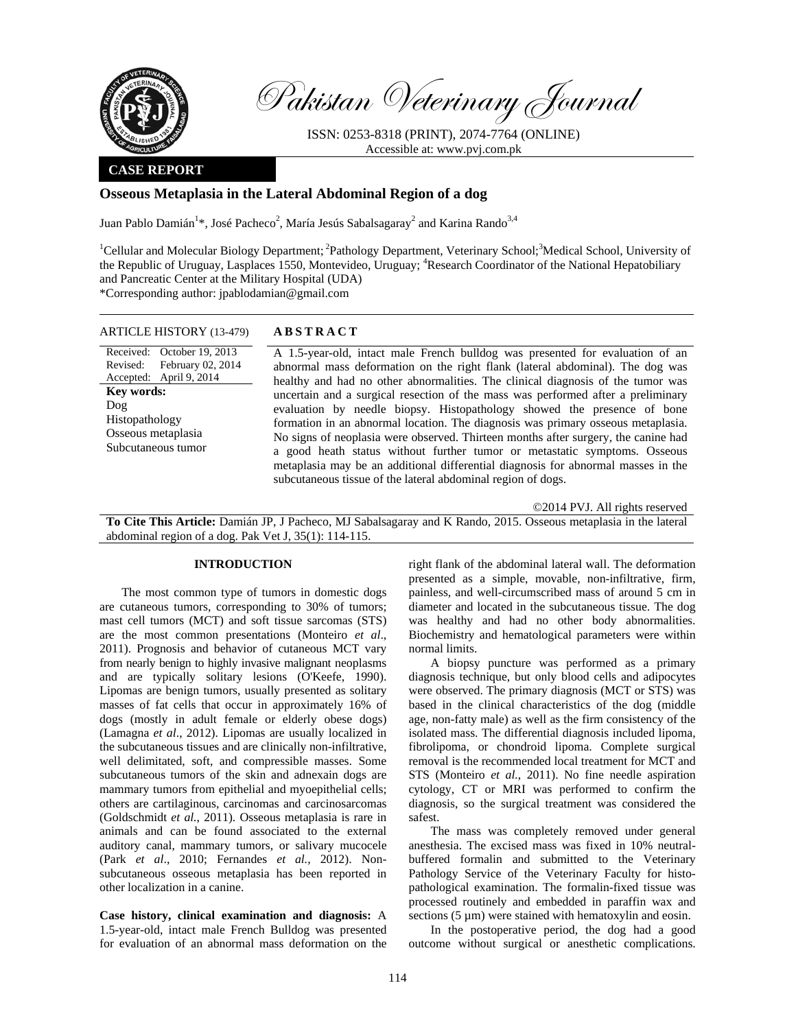

Pakistan Veterinary Journal

ISSN: 0253-8318 (PRINT), 2074-7764 (ONLINE) Accessible at: www.pvj.com.pk

## **CASE REPORT**

# **Osseous Metaplasia in the Lateral Abdominal Region of a dog**

Juan Pablo Damián<sup>1</sup>\*, José Pacheco<sup>2</sup>, María Jesús Sabalsagaray<sup>2</sup> and Karina Rando<sup>3,4</sup>

<sup>1</sup>Cellular and Molecular Biology Department; <sup>2</sup>Pathology Department, Veterinary School; 3Medical School, University of the Republic of Uruguay, Lasplaces 1550, Montevideo, Uruguay; <sup>4</sup>Research Coordinator of the National Hepatobiliary and Pancreatic Center at the Military Hospital (UDA) \*Corresponding author: jpablodamian@gmail.com

ARTICLE HISTORY (13-479) **ABSTRACT** 

Received: October 19, 2013 Revised: Accepted: April 9, 2014 February 02, 2014 **Key words:**  Dog Histopathology Osseous metaplasia Subcutaneous tumor

 A 1.5-year-old, intact male French bulldog was presented for evaluation of an abnormal mass deformation on the right flank (lateral abdominal). The dog was healthy and had no other abnormalities. The clinical diagnosis of the tumor was uncertain and a surgical resection of the mass was performed after a preliminary evaluation by needle biopsy. Histopathology showed the presence of bone formation in an abnormal location. The diagnosis was primary osseous metaplasia. No signs of neoplasia were observed. Thirteen months after surgery, the canine had a good heath status without further tumor or metastatic symptoms. Osseous metaplasia may be an additional differential diagnosis for abnormal masses in the subcutaneous tissue of the lateral abdominal region of dogs.

©2014 PVJ. All rights reserved **To Cite This Article:** Damián JP, J Pacheco, MJ Sabalsagaray and K Rando, 2015. Osseous metaplasia in the lateral abdominal region of a dog. Pak Vet J, 35(1): 114-115.

### **INTRODUCTION**

The most common type of tumors in domestic dogs are cutaneous tumors, corresponding to 30% of tumors; mast cell tumors (MCT) and soft tissue sarcomas (STS) are the most common presentations (Monteiro *et al*., 2011). Prognosis and behavior of cutaneous MCT vary from nearly benign to highly invasive malignant neoplasms and are typically solitary lesions (O'Keefe, 1990). Lipomas are benign tumors, usually presented as solitary masses of fat cells that occur in approximately 16% of dogs (mostly in adult female or elderly obese dogs) (Lamagna *et al*., 2012). Lipomas are usually localized in the subcutaneous tissues and are clinically non-infiltrative, well delimitated, soft, and compressible masses. Some subcutaneous tumors of the skin and adnexain dogs are mammary tumors from epithelial and myoepithelial cells; others are cartilaginous, carcinomas and carcinosarcomas (Goldschmidt *et al.*, 2011). Osseous metaplasia is rare in animals and can be found associated to the external auditory canal, mammary tumors, or salivary mucocele (Park *et al*., 2010; Fernandes *et al.*, 2012). Nonsubcutaneous osseous metaplasia has been reported in other localization in a canine.

**Case history, clinical examination and diagnosis:** A 1.5-year-old, intact male French Bulldog was presented for evaluation of an abnormal mass deformation on the right flank of the abdominal lateral wall. The deformation presented as a simple, movable, non-infiltrative, firm, painless, and well-circumscribed mass of around 5 cm in diameter and located in the subcutaneous tissue. The dog was healthy and had no other body abnormalities. Biochemistry and hematological parameters were within normal limits.

A biopsy puncture was performed as a primary diagnosis technique, but only blood cells and adipocytes were observed. The primary diagnosis (MCT or STS) was based in the clinical characteristics of the dog (middle age, non-fatty male) as well as the firm consistency of the isolated mass. The differential diagnosis included lipoma, fibrolipoma, or chondroid lipoma. Complete surgical removal is the recommended local treatment for MCT and STS (Monteiro *et al.*, 2011). No fine needle aspiration cytology, CT or MRI was performed to confirm the diagnosis, so the surgical treatment was considered the safest.

The mass was completely removed under general anesthesia. The excised mass was fixed in 10% neutralbuffered formalin and submitted to the Veterinary Pathology Service of the Veterinary Faculty for histopathological examination. The formalin-fixed tissue was processed routinely and embedded in paraffin wax and sections  $(5 \mu m)$  were stained with hematoxylin and eosin.

In the postoperative period, the dog had a good outcome without surgical or anesthetic complications.